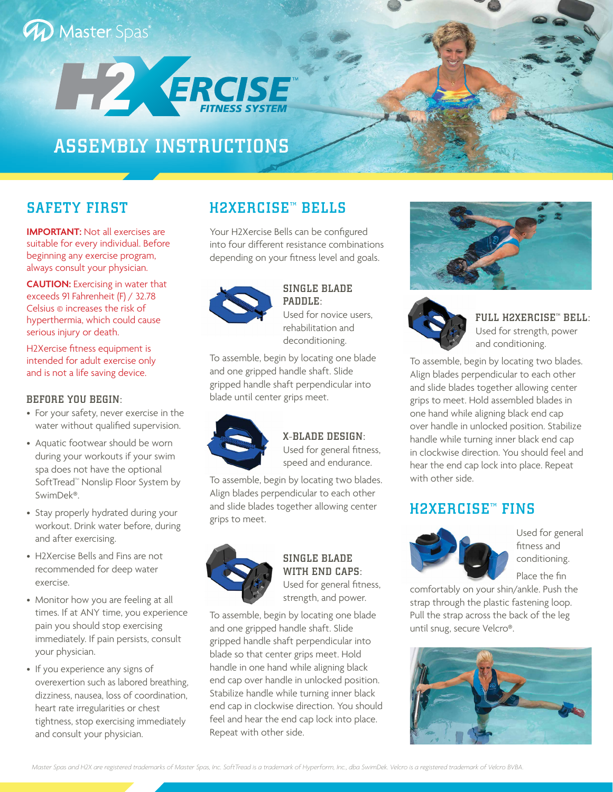# **W** Master Spas



# ASSEMBLY INSTRUCTIONS

**IMPORTANT:** Not all exercises are suitable for every individual. Before beginning any exercise program, always consult your physician.

**CAUTION:** Exercising in water that exceeds 91 Fahrenheit (F) / 32.78 Celsius © increases the risk of hyperthermia, which could cause serious injury or death.

H2Xercise fitness equipment is intended for adult exercise only and is not a life saving device.

#### BEFORE YOU BEGIN:

- For your safety, never exercise in the water without qualified supervision.
- Aquatic footwear should be worn during your workouts if your swim spa does not have the optional SoftTread<sup>™</sup> Nonslip Floor System by SwimDek®.
- Stay properly hydrated during your workout. Drink water before, during and after exercising.
- H2Xercise Bells and Fins are not recommended for deep water exercise.
- Monitor how you are feeling at all times. If at ANY time, you experience pain you should stop exercising immediately. If pain persists, consult your physician.
- If you experience any signs of overexertion such as labored breathing, dizziness, nausea, loss of coordination, heart rate irregularities or chest tightness, stop exercising immediately and consult your physician.

# SAFETY FIRST **H2XERCISE<sup>T</sup> BELLS**

Your H2Xercise Bells can be configured into four different resistance combinations depending on your fitness level and goals.



#### SINGLE BLADE PADDLE: Used for novice users,

rehabilitation and deconditioning.

To assemble, begin by locating one blade and one gripped handle shaft. Slide gripped handle shaft perpendicular into blade until center grips meet.



#### X-BLADE DESIGN:

Used for general fitness, speed and endurance.

To assemble, begin by locating two blades. Align blades perpendicular to each other and slide blades together allowing center grips to meet.



SINGLE BLADE WITH END CAPS: Used for general fitness, strength, and power.

To assemble, begin by locating one blade and one gripped handle shaft. Slide gripped handle shaft perpendicular into blade so that center grips meet. Hold handle in one hand while aligning black end cap over handle in unlocked position. Stabilize handle while turning inner black end cap in clockwise direction. You should feel and hear the end cap lock into place. Repeat with other side.





FULL H2XERCISE<sup>\*</sup> BELL: Used for strength, power and conditioning.

To assemble, begin by locating two blades. Align blades perpendicular to each other and slide blades together allowing center grips to meet. Hold assembled blades in one hand while aligning black end cap over handle in unlocked position. Stabilize handle while turning inner black end cap in clockwise direction. You should feel and hear the end cap lock into place. Repeat with other side.

#### **H2XERCISE™ FINS**



Used for general fitness and conditioning. Place the fin

comfortably on your shin/ankle. Push the strap through the plastic fastening loop. Pull the strap across the back of the leg until snug, secure Velcro®.